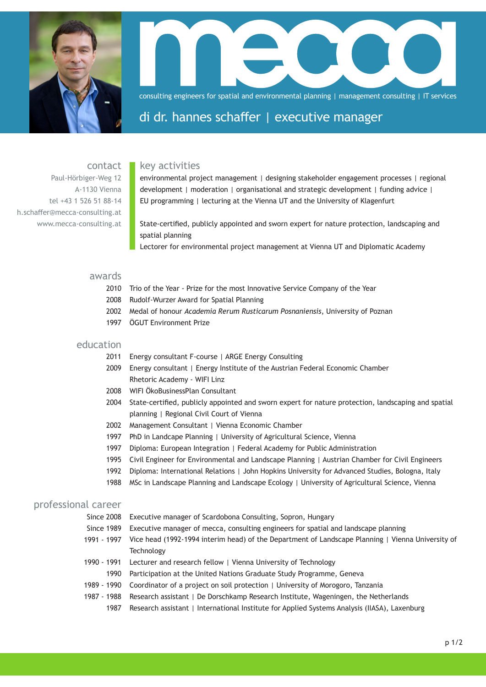

consulting engineers for spatial and environmental planning | management consulting | IT services

# di dr. hannes schaffer | executive manager

# key activities

contact Paul-Hörbiger-Weg 12 A-1130 Vienna tel +43 1 526 51 88-14 h.schaffer@mecca-consulting.at www.mecca-consulting.at

environmental project management | designing stakeholder engagement processes | regional development | moderation | organisational and strategic development | funding advice | EU programming | lecturing at the Vienna UT and the University of Klagenfurt

State-certified, publicly appointed and sworn expert for nature protection, landscaping and spatial planning

Lectorer for environmental project management at Vienna UT and Diplomatic Academy

#### awards

- 2010 Trio of the Year Prize for the most Innovative Service Company of the Year
- Rudolf-Wurzer Award for Spatial Planning 2008
- Medal of honour *Academia Rerum Rusticarum Posnaniensis*, University of Poznan 2002
- ÖGUT Environment Prize 1997

# education

- 2011 Energy consultant F-course | ARGE Energy Consulting
- 2009 Energy consultant | Energy Institute of the Austrian Federal Economic Chamber Rhetoric Academy - WIFI Linz
- 2008 WIFI ÖkoBusinessPlan Consultant
- 2004 State-certified, publicly appointed and sworn expert for nature protection, landscaping and spatial planning | Regional Civil Court of Vienna
- 2002 Management Consultant | Vienna Economic Chamber
- 1997 PhD in Landcape Planning | University of Agricultural Science, Vienna
- 1997 Diploma: European Integration | Federal Academy for Public Administration
- 1995 Civil Engineer for Environmental and Landscape Planning | Austrian Chamber for Civil Engineers
- 1992 Diploma: International Relations | John Hopkins University for Advanced Studies, Bologna, Italy
- 1988 MSc in Landscape Planning and Landscape Ecology | University of Agricultural Science, Vienna

# professional career

- Since 2008 Executive manager of Scardobona Consulting, Sopron, Hungary
- Since 1989 Executive manager of mecca, consulting engineers for spatial and landscape planning
- 1991 1997 Vice head (1992-1994 interim head) of the Department of Landscape Planning | Vienna University of **Technology**
- 1990 1991 Lecturer and research fellow | Vienna University of Technology
- 1990 Participation at the United Nations Graduate Study Programme, Geneva
- 1989 1990 Coordinator of a project on soil protection | University of Morogoro, Tanzania
- 1987 1988 Research assistant | De Dorschkamp Research Institute, Wageningen, the Netherlands
	- 1987 Research assistant | International Institute for Applied Systems Analysis (IIASA), Laxenburg